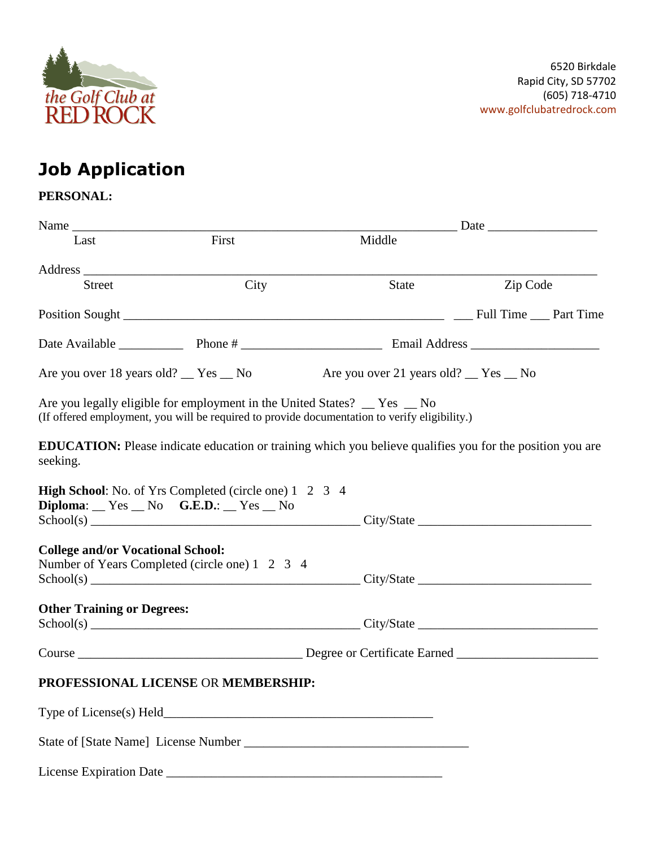

# **Job Application**

# **PERSONAL:**

| Name                                           |                                                                                                             |                                                                                                                  | $\frac{1}{\sqrt{1-\frac{1}{2}}}\text{Date}$ |  |  |
|------------------------------------------------|-------------------------------------------------------------------------------------------------------------|------------------------------------------------------------------------------------------------------------------|---------------------------------------------|--|--|
| Last                                           | First                                                                                                       | Middle                                                                                                           |                                             |  |  |
|                                                | Address $\frac{1}{2}$                                                                                       |                                                                                                                  |                                             |  |  |
| <b>Street</b>                                  | City                                                                                                        | <b>State</b>                                                                                                     | Zip Code                                    |  |  |
|                                                |                                                                                                             |                                                                                                                  |                                             |  |  |
|                                                |                                                                                                             |                                                                                                                  |                                             |  |  |
|                                                |                                                                                                             | Are you over 18 years old? Thes No Are you over 21 years old? No No                                              |                                             |  |  |
|                                                | Are you legally eligible for employment in the United States? The States 2 No                               | (If offered employment, you will be required to provide documentation to verify eligibility.)                    |                                             |  |  |
| seeking.                                       |                                                                                                             | <b>EDUCATION:</b> Please indicate education or training which you believe qualifies you for the position you are |                                             |  |  |
|                                                | <b>High School:</b> No. of Yrs Completed (circle one) 1 2 3 4<br>$Diploma:$ $Yes$ $No$ $G.E.D.:$ $Yes$ $No$ |                                                                                                                  |                                             |  |  |
|                                                |                                                                                                             |                                                                                                                  |                                             |  |  |
| <b>College and/or Vocational School:</b>       |                                                                                                             |                                                                                                                  |                                             |  |  |
| Number of Years Completed (circle one) 1 2 3 4 |                                                                                                             |                                                                                                                  |                                             |  |  |
| <b>Other Training or Degrees:</b>              |                                                                                                             |                                                                                                                  |                                             |  |  |
|                                                |                                                                                                             |                                                                                                                  |                                             |  |  |
|                                                |                                                                                                             |                                                                                                                  |                                             |  |  |
|                                                | PROFESSIONAL LICENSE OR MEMBERSHIP:                                                                         |                                                                                                                  |                                             |  |  |
|                                                |                                                                                                             |                                                                                                                  |                                             |  |  |
|                                                |                                                                                                             |                                                                                                                  |                                             |  |  |
|                                                |                                                                                                             |                                                                                                                  |                                             |  |  |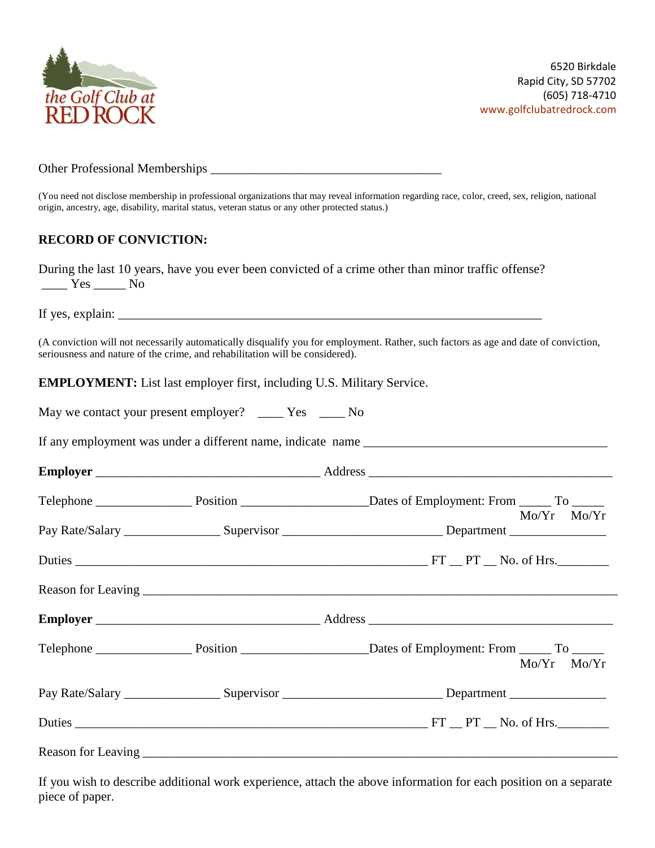

#### Other Professional Memberships \_\_\_\_\_\_\_\_\_\_\_\_\_\_\_\_\_\_\_\_\_\_\_\_\_\_\_\_\_\_\_\_\_\_\_\_

(You need not disclose membership in professional organizations that may reveal information regarding race, color, creed, sex, religion, national origin, ancestry, age, disability, marital status, veteran status or any other protected status.)

# **RECORD OF CONVICTION:**

| During the last 10 years, have you ever been convicted of a crime other than minor traffic offense?                                                                                                                                                                                                                                                                                                                   |  |  |  |  |  |
|-----------------------------------------------------------------------------------------------------------------------------------------------------------------------------------------------------------------------------------------------------------------------------------------------------------------------------------------------------------------------------------------------------------------------|--|--|--|--|--|
| $\frac{1}{\sqrt{1-\frac{1}{1-\frac{1}{1-\frac{1}{1-\frac{1}{1-\frac{1}{1-\frac{1}{1-\frac{1}{1-\frac{1}{1-\frac{1}{1-\frac{1}{1-\frac{1}{1-\frac{1}{1-\frac{1}{1-\frac{1}{1-\frac{1}{1-\frac{1}{1-\frac{1}{1-\frac{1}{1-\frac{1}{1-\frac{1}{1-\frac{1}{1-\frac{1}{1-\frac{1}{1-\frac{1}{1-\frac{1}{1-\frac{1}{1-\frac{1}{1-\frac{1}{1-\frac{1}{1-\frac{1}{1-\frac{1}{1-\frac{1}{1-\frac{1}{1-\frac{1}{1-\frac{1}{1-\$ |  |  |  |  |  |

If yes, explain: \_\_\_\_\_\_\_\_\_\_\_\_\_\_\_\_\_\_\_\_\_\_\_\_\_\_\_\_\_\_\_\_\_\_\_\_\_\_\_\_\_\_\_\_\_\_\_\_\_\_\_\_\_\_\_\_\_\_\_\_\_\_\_\_\_\_

(A conviction will not necessarily automatically disqualify you for employment. Rather, such factors as age and date of conviction, seriousness and nature of the crime, and rehabilitation will be considered).

**EMPLOYMENT:** List last employer first, including U.S. Military Service.

|  | May we contact your present employer? |  |  | Yes. | No. |
|--|---------------------------------------|--|--|------|-----|
|--|---------------------------------------|--|--|------|-----|

If any employment was under a different name, indicate name \_\_\_\_\_\_\_\_\_\_\_\_\_\_\_\_\_\_\_\_\_\_\_\_\_\_\_\_\_\_\_\_\_\_\_\_\_\_

| $\mathbf{F}_{\mathbf{m}}$<br>ய | . |
|--------------------------------|---|
|                                |   |

|  | $Mo/Yr$ $Mo/Yr$<br>Pay Rate/Salary _______________________Supervisor _______________________________Department __________________ |
|--|-----------------------------------------------------------------------------------------------------------------------------------|
|  |                                                                                                                                   |
|  |                                                                                                                                   |
|  |                                                                                                                                   |
|  | $Mo/Yr$ $Mo/Yr$                                                                                                                   |
|  | Pay Rate/Salary _______________________Supervisor ________________________________Department _________________                    |
|  | Duties FT PT No. of Hrs.                                                                                                          |
|  |                                                                                                                                   |

If you wish to describe additional work experience, attach the above information for each position on a separate piece of paper.